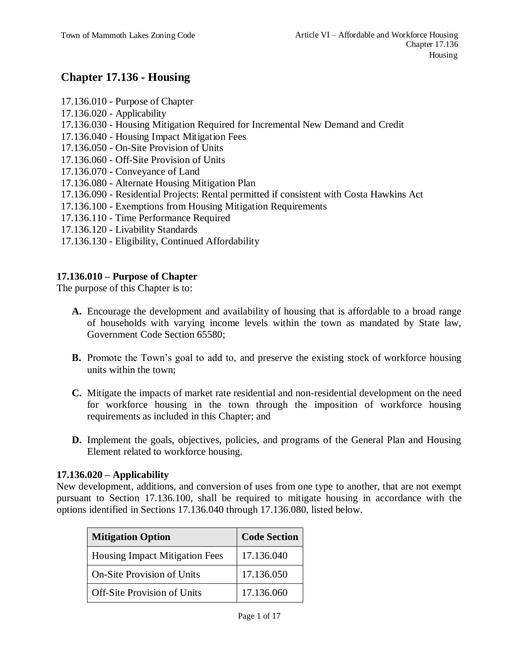# **Chapter 17.136 - Housing**

- 17.136.010 Purpose of Chapter
- 17.136.020 Applicability
- 17.136.030 Housing Mitigation Required for Incremental New Demand and Credit
- 17.136.040 Housing Impact Mitigation Fees
- 17.136.050 On-Site Provision of Units
- 17.136.060 Off-Site Provision of Units
- 17.136.070 Conveyance of Land
- 17.136.080 Alternate Housing Mitigation Plan
- 17.136.090 Residential Projects: Rental permitted if consistent with Costa Hawkins Act
- 17.136.100 Exemptions from Housing Mitigation Requirements
- 17.136.110 Time Performance Required
- 17.136.120 Livability Standards
- 17.136.130 Eligibility, Continued Affordability

# **17.136.010 – Purpose of Chapter**

The purpose of this Chapter is to:

- **A.** Encourage the development and availability of housing that is affordable to a broad range of households with varying income levels within the town as mandated by State law, Government Code Section 65580;
- **B.** Promote the Town's goal to add to, and preserve the existing stock of workforce housing units within the town;
- **C.** Mitigate the impacts of market rate residential and non-residential development on the need for workforce housing in the town through the imposition of workforce housing requirements as included in this Chapter; and
- **D.** Implement the goals, objectives, policies, and programs of the General Plan and Housing Element related to workforce housing.

#### **17.136.020 – Applicability**

New development, additions, and conversion of uses from one type to another, that are not exempt pursuant to Section 17.136.100, shall be required to mitigate housing in accordance with the options identified in Sections 17.136.040 through 17.136.080, listed below.

| <b>Mitigation Option</b>              | <b>Code Section</b> |
|---------------------------------------|---------------------|
| <b>Housing Impact Mitigation Fees</b> | 17.136.040          |
| <b>On-Site Provision of Units</b>     | 17.136.050          |
| <b>Off-Site Provision of Units</b>    | 17.136.060          |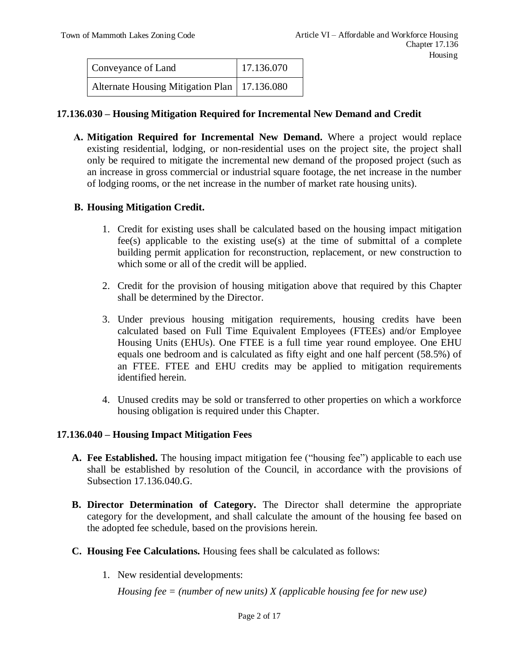| Conveyance of Land                             | 17.136.070 |
|------------------------------------------------|------------|
| Alternate Housing Mitigation Plan   17.136.080 |            |

#### **17.136.030 – Housing Mitigation Required for Incremental New Demand and Credit**

**A. Mitigation Required for Incremental New Demand.** Where a project would replace existing residential, lodging, or non-residential uses on the project site, the project shall only be required to mitigate the incremental new demand of the proposed project (such as an increase in gross commercial or industrial square footage, the net increase in the number of lodging rooms, or the net increase in the number of market rate housing units).

#### **B. Housing Mitigation Credit.**

- 1. Credit for existing uses shall be calculated based on the housing impact mitigation fee(s) applicable to the existing use(s) at the time of submittal of a complete building permit application for reconstruction, replacement, or new construction to which some or all of the credit will be applied.
- 2. Credit for the provision of housing mitigation above that required by this Chapter shall be determined by the Director.
- 3. Under previous housing mitigation requirements, housing credits have been calculated based on Full Time Equivalent Employees (FTEEs) and/or Employee Housing Units (EHUs). One FTEE is a full time year round employee. One EHU equals one bedroom and is calculated as fifty eight and one half percent (58.5%) of an FTEE. FTEE and EHU credits may be applied to mitigation requirements identified herein.
- 4. Unused credits may be sold or transferred to other properties on which a workforce housing obligation is required under this Chapter.

#### **17.136.040 – Housing Impact Mitigation Fees**

- **A. Fee Established.** The housing impact mitigation fee ("housing fee") applicable to each use shall be established by resolution of the Council, in accordance with the provisions of Subsection 17.136.040.G.
- **B. Director Determination of Category.** The Director shall determine the appropriate category for the development, and shall calculate the amount of the housing fee based on the adopted fee schedule, based on the provisions herein.
- **C. Housing Fee Calculations.** Housing fees shall be calculated as follows:
	- 1. New residential developments:

*Housing fee = (number of new units) X (applicable housing fee for new use)*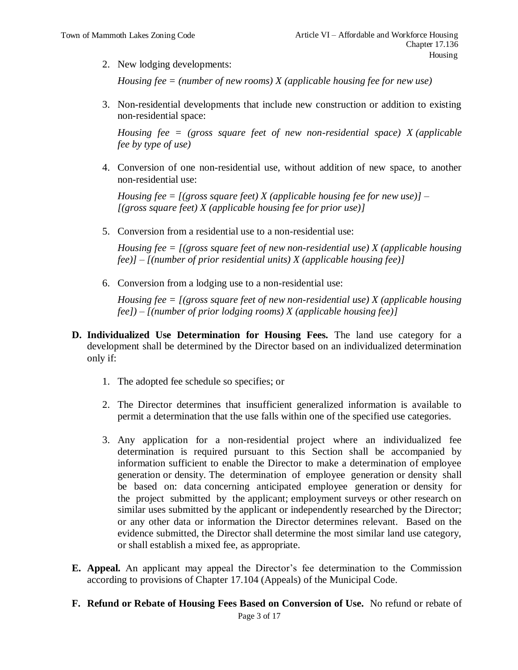2. New lodging developments:

*Housing fee = (number of new rooms) X (applicable housing fee for new use)*

3. Non-residential developments that include new construction or addition to existing non-residential space:

*Housing fee = (gross square feet of new non-residential space) X (applicable fee by type of use)*

4. Conversion of one non-residential use, without addition of new space, to another non-residential use:

*Housing fee = [(gross square feet) X (applicable housing fee for new use)] – [(gross square feet) X (applicable housing fee for prior use)]*

5. Conversion from a residential use to a non-residential use:

*Housing fee = [(gross square feet of new non-residential use) X (applicable housing fee)] – [(number of prior residential units) X (applicable housing fee)]*

6. Conversion from a lodging use to a non-residential use:

*Housing fee = [(gross square feet of new non-residential use) X (applicable housing fee]) – [(number of prior lodging rooms) X (applicable housing fee)]*

- **D. Individualized Use Determination for Housing Fees.** The land use category for a development shall be determined by the Director based on an individualized determination only if:
	- 1. The adopted fee schedule so specifies; or
	- 2. The Director determines that insufficient generalized information is available to permit a determination that the use falls within one of the specified use categories.
	- 3. Any application for a non-residential project where an individualized fee determination is required pursuant to this Section shall be accompanied by information sufficient to enable the Director to make a determination of employee generation or density. The determination of employee generation or density shall be based on: data concerning anticipated employee generation or density for the project submitted by the applicant; employment surveys or other research on similar uses submitted by the applicant or independently researched by the Director; or any other data or information the Director determines relevant. Based on the evidence submitted, the Director shall determine the most similar land use category, or shall establish a mixed fee, as appropriate.
- **E. Appeal.** An applicant may appeal the Director's fee determination to the Commission according to provisions of Chapter 17.104 (Appeals) of the Municipal Code.
- **F. Refund or Rebate of Housing Fees Based on Conversion of Use.** No refund or rebate of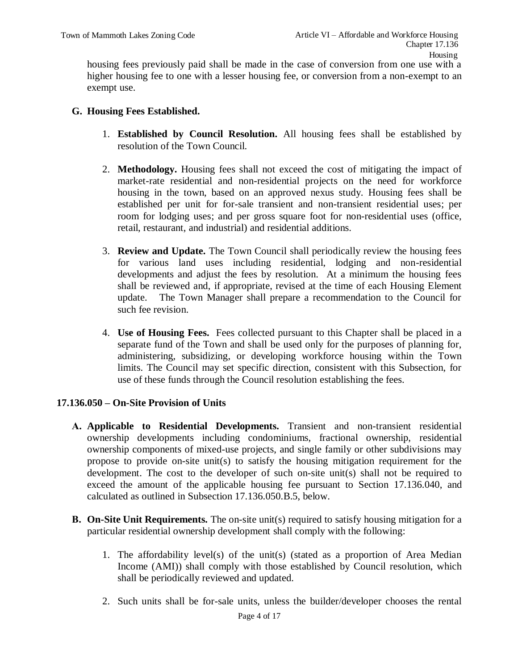housing fees previously paid shall be made in the case of conversion from one use with a higher housing fee to one with a lesser housing fee, or conversion from a non-exempt to an exempt use.

#### **G. Housing Fees Established.**

- 1. **Established by Council Resolution.** All housing fees shall be established by resolution of the Town Council.
- 2. **Methodology.** Housing fees shall not exceed the cost of mitigating the impact of market-rate residential and non-residential projects on the need for workforce housing in the town, based on an approved nexus study. Housing fees shall be established per unit for for-sale transient and non-transient residential uses; per room for lodging uses; and per gross square foot for non-residential uses (office, retail, restaurant, and industrial) and residential additions.
- 3. **Review and Update.** The Town Council shall periodically review the housing fees for various land uses including residential, lodging and non-residential developments and adjust the fees by resolution. At a minimum the housing fees shall be reviewed and, if appropriate, revised at the time of each Housing Element update. The Town Manager shall prepare a recommendation to the Council for such fee revision.
- 4. **Use of Housing Fees.** Fees collected pursuant to this Chapter shall be placed in a separate fund of the Town and shall be used only for the purposes of planning for, administering, subsidizing, or developing workforce housing within the Town limits. The Council may set specific direction, consistent with this Subsection, for use of these funds through the Council resolution establishing the fees.

#### **17.136.050 – On-Site Provision of Units**

- **A. Applicable to Residential Developments.** Transient and non-transient residential ownership developments including condominiums, fractional ownership, residential ownership components of mixed-use projects, and single family or other subdivisions may propose to provide on-site unit(s) to satisfy the housing mitigation requirement for the development. The cost to the developer of such on-site unit(s) shall not be required to exceed the amount of the applicable housing fee pursuant to Section 17.136.040, and calculated as outlined in Subsection 17.136.050.B.5, below.
- **B.** On-Site Unit Requirements. The on-site unit(s) required to satisfy housing mitigation for a particular residential ownership development shall comply with the following:
	- 1. The affordability level(s) of the unit(s) (stated as a proportion of Area Median Income (AMI)) shall comply with those established by Council resolution, which shall be periodically reviewed and updated.
	- 2. Such units shall be for-sale units, unless the builder/developer chooses the rental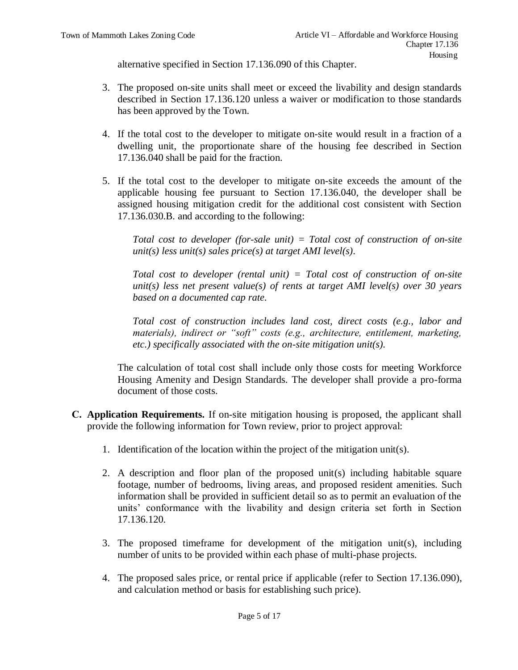alternative specified in Section 17.136.090 of this Chapter.

- 3. The proposed on-site units shall meet or exceed the livability and design standards described in Section 17.136.120 unless a waiver or modification to those standards has been approved by the Town.
- 4. If the total cost to the developer to mitigate on-site would result in a fraction of a dwelling unit, the proportionate share of the housing fee described in Section 17.136.040 shall be paid for the fraction.
- 5. If the total cost to the developer to mitigate on-site exceeds the amount of the applicable housing fee pursuant to Section 17.136.040, the developer shall be assigned housing mitigation credit for the additional cost consistent with Section 17.136.030.B. and according to the following:

*Total cost to developer (for-sale unit) = Total cost of construction of on-site unit(s) less unit(s) sales price(s) at target AMI level(s).*

*Total cost to developer (rental unit) = Total cost of construction of on-site unit(s) less net present value(s) of rents at target AMI level(s) over 30 years based on a documented cap rate.*

*Total cost of construction includes land cost, direct costs (e.g., labor and materials), indirect or "soft" costs (e.g., architecture, entitlement, marketing, etc.) specifically associated with the on-site mitigation unit(s).*

The calculation of total cost shall include only those costs for meeting Workforce Housing Amenity and Design Standards. The developer shall provide a pro-forma document of those costs.

- **C. Application Requirements.** If on-site mitigation housing is proposed, the applicant shall provide the following information for Town review, prior to project approval:
	- 1. Identification of the location within the project of the mitigation unit(s).
	- 2. A description and floor plan of the proposed unit(s) including habitable square footage, number of bedrooms, living areas, and proposed resident amenities. Such information shall be provided in sufficient detail so as to permit an evaluation of the units' conformance with the livability and design criteria set forth in Section 17.136.120.
	- 3. The proposed timeframe for development of the mitigation unit(s), including number of units to be provided within each phase of multi-phase projects.
	- 4. The proposed sales price, or rental price if applicable (refer to Section 17.136.090), and calculation method or basis for establishing such price).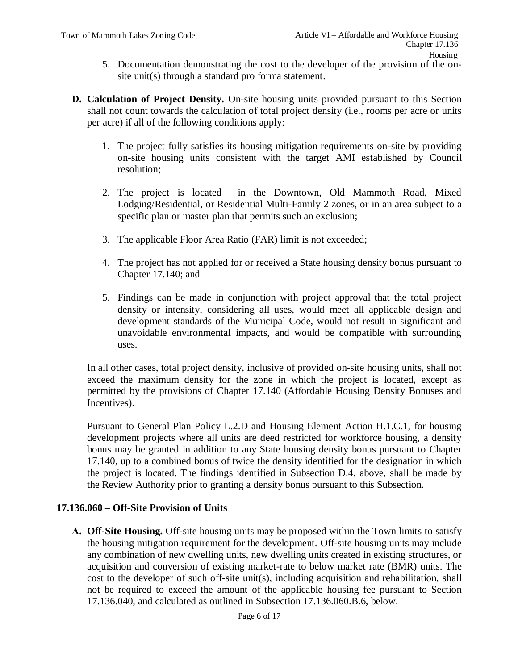- 5. Documentation demonstrating the cost to the developer of the provision of the onsite unit(s) through a standard pro forma statement.
- **D. Calculation of Project Density.** On-site housing units provided pursuant to this Section shall not count towards the calculation of total project density (i.e., rooms per acre or units per acre) if all of the following conditions apply:
	- 1. The project fully satisfies its housing mitigation requirements on-site by providing on-site housing units consistent with the target AMI established by Council resolution;
	- 2. The project is located in the Downtown, Old Mammoth Road, Mixed Lodging/Residential, or Residential Multi-Family 2 zones, or in an area subject to a specific plan or master plan that permits such an exclusion;
	- 3. The applicable Floor Area Ratio (FAR) limit is not exceeded;
	- 4. The project has not applied for or received a State housing density bonus pursuant to Chapter 17.140; and
	- 5. Findings can be made in conjunction with project approval that the total project density or intensity, considering all uses, would meet all applicable design and development standards of the Municipal Code, would not result in significant and unavoidable environmental impacts, and would be compatible with surrounding uses.

In all other cases, total project density, inclusive of provided on-site housing units, shall not exceed the maximum density for the zone in which the project is located, except as permitted by the provisions of Chapter 17.140 (Affordable Housing Density Bonuses and Incentives).

Pursuant to General Plan Policy L.2.D and Housing Element Action H.1.C.1, for housing development projects where all units are deed restricted for workforce housing, a density bonus may be granted in addition to any State housing density bonus pursuant to Chapter 17.140, up to a combined bonus of twice the density identified for the designation in which the project is located. The findings identified in Subsection D.4, above, shall be made by the Review Authority prior to granting a density bonus pursuant to this Subsection.

#### **17.136.060 – Off-Site Provision of Units**

**A. Off-Site Housing.** Off-site housing units may be proposed within the Town limits to satisfy the housing mitigation requirement for the development. Off-site housing units may include any combination of new dwelling units, new dwelling units created in existing structures, or acquisition and conversion of existing market-rate to below market rate (BMR) units. The cost to the developer of such off-site unit(s), including acquisition and rehabilitation, shall not be required to exceed the amount of the applicable housing fee pursuant to Section 17.136.040, and calculated as outlined in Subsection 17.136.060.B.6, below.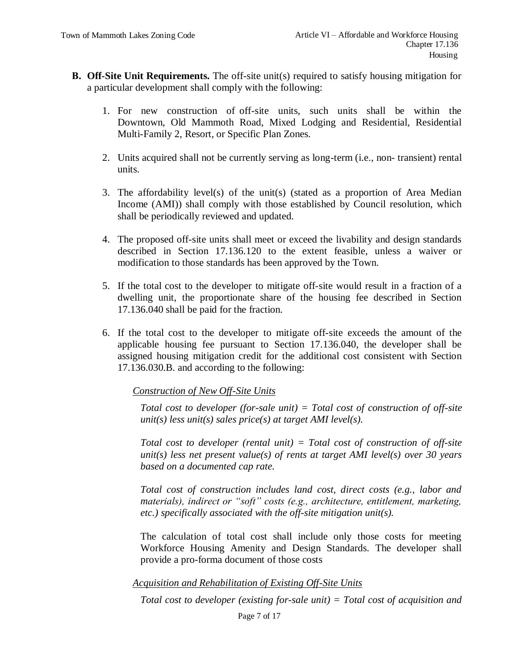- **B. Off-Site Unit Requirements.** The off-site unit(s) required to satisfy housing mitigation for a particular development shall comply with the following:
	- 1. For new construction of off-site units, such units shall be within the Downtown, Old Mammoth Road, Mixed Lodging and Residential, Residential Multi-Family 2, Resort, or Specific Plan Zones.
	- 2. Units acquired shall not be currently serving as long-term (i.e., non- transient) rental units.
	- 3. The affordability level(s) of the unit(s) (stated as a proportion of Area Median Income (AMI)) shall comply with those established by Council resolution, which shall be periodically reviewed and updated.
	- 4. The proposed off-site units shall meet or exceed the livability and design standards described in Section 17.136.120 to the extent feasible, unless a waiver or modification to those standards has been approved by the Town.
	- 5. If the total cost to the developer to mitigate off-site would result in a fraction of a dwelling unit, the proportionate share of the housing fee described in Section 17.136.040 shall be paid for the fraction.
	- 6. If the total cost to the developer to mitigate off-site exceeds the amount of the applicable housing fee pursuant to Section 17.136.040, the developer shall be assigned housing mitigation credit for the additional cost consistent with Section 17.136.030.B. and according to the following:

*Construction of New Off-Site Units*

*Total cost to developer (for-sale unit) = Total cost of construction of off-site unit(s) less unit(s) sales price(s) at target AMI level(s).*

*Total cost to developer (rental unit) = Total cost of construction of off-site unit(s) less net present value(s) of rents at target AMI level(s) over 30 years based on a documented cap rate.*

*Total cost of construction includes land cost, direct costs (e.g., labor and materials), indirect or "soft" costs (e.g., architecture, entitlement, marketing, etc.) specifically associated with the off-site mitigation unit(s).*

The calculation of total cost shall include only those costs for meeting Workforce Housing Amenity and Design Standards. The developer shall provide a pro-forma document of those costs

# *Acquisition and Rehabilitation of Existing Off-Site Units*

*Total cost to developer (existing for-sale unit) = Total cost of acquisition and*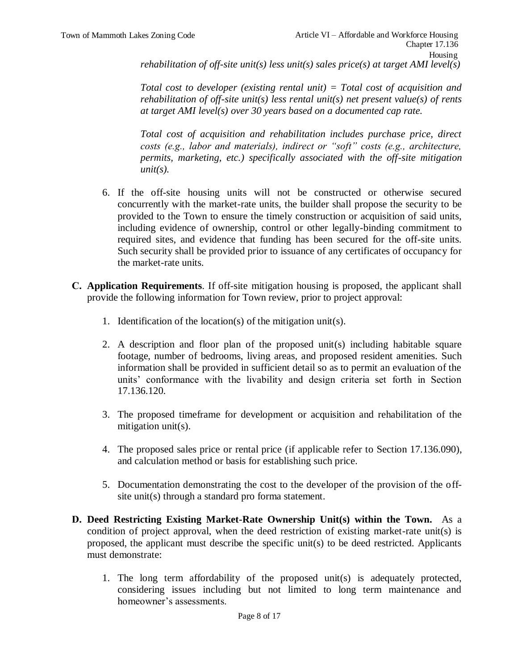*Total cost to developer (existing rental unit) = Total cost of acquisition and rehabilitation of off-site unit(s) less rental unit(s) net present value(s) of rents at target AMI level(s) over 30 years based on a documented cap rate.*

*Total cost of acquisition and rehabilitation includes purchase price, direct costs (e.g., labor and materials), indirect or "soft" costs (e.g., architecture, permits, marketing, etc.) specifically associated with the off-site mitigation unit(s).*

- 6. If the off-site housing units will not be constructed or otherwise secured concurrently with the market-rate units, the builder shall propose the security to be provided to the Town to ensure the timely construction or acquisition of said units, including evidence of ownership, control or other legally-binding commitment to required sites, and evidence that funding has been secured for the off-site units. Such security shall be provided prior to issuance of any certificates of occupancy for the market-rate units.
- **C. Application Requirements**. If off-site mitigation housing is proposed, the applicant shall provide the following information for Town review, prior to project approval:
	- 1. Identification of the location(s) of the mitigation unit(s).
	- 2. A description and floor plan of the proposed unit(s) including habitable square footage, number of bedrooms, living areas, and proposed resident amenities. Such information shall be provided in sufficient detail so as to permit an evaluation of the units' conformance with the livability and design criteria set forth in Section 17.136.120.
	- 3. The proposed timeframe for development or acquisition and rehabilitation of the mitigation unit(s).
	- 4. The proposed sales price or rental price (if applicable refer to Section 17.136.090), and calculation method or basis for establishing such price.
	- 5. Documentation demonstrating the cost to the developer of the provision of the offsite unit(s) through a standard pro forma statement.
- **D. Deed Restricting Existing Market-Rate Ownership Unit(s) within the Town.** As a condition of project approval, when the deed restriction of existing market-rate unit(s) is proposed, the applicant must describe the specific unit(s) to be deed restricted. Applicants must demonstrate:
	- 1. The long term affordability of the proposed unit(s) is adequately protected, considering issues including but not limited to long term maintenance and homeowner's assessments.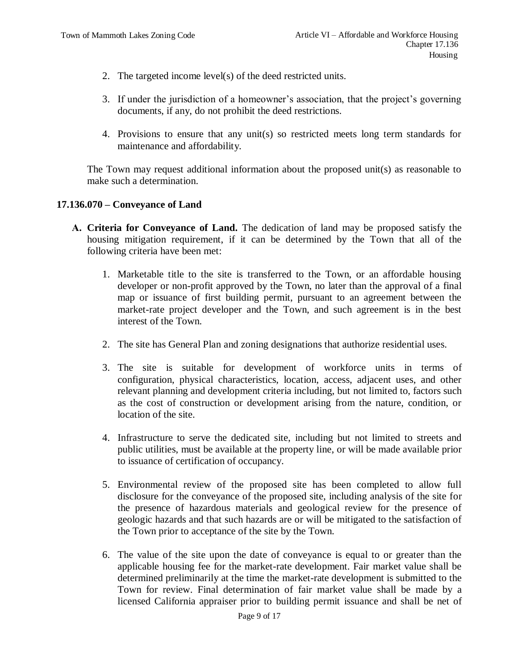- 2. The targeted income level(s) of the deed restricted units.
- 3. If under the jurisdiction of a homeowner's association, that the project's governing documents, if any, do not prohibit the deed restrictions.
- 4. Provisions to ensure that any unit(s) so restricted meets long term standards for maintenance and affordability.

The Town may request additional information about the proposed unit(s) as reasonable to make such a determination.

#### **17.136.070 – Conveyance of Land**

- **A. Criteria for Conveyance of Land.** The dedication of land may be proposed satisfy the housing mitigation requirement, if it can be determined by the Town that all of the following criteria have been met:
	- 1. Marketable title to the site is transferred to the Town, or an affordable housing developer or non-profit approved by the Town, no later than the approval of a final map or issuance of first building permit, pursuant to an agreement between the market-rate project developer and the Town, and such agreement is in the best interest of the Town.
	- 2. The site has General Plan and zoning designations that authorize residential uses.
	- 3. The site is suitable for development of workforce units in terms of configuration, physical characteristics, location, access, adjacent uses, and other relevant planning and development criteria including, but not limited to, factors such as the cost of construction or development arising from the nature, condition, or location of the site.
	- 4. Infrastructure to serve the dedicated site, including but not limited to streets and public utilities, must be available at the property line, or will be made available prior to issuance of certification of occupancy.
	- 5. Environmental review of the proposed site has been completed to allow full disclosure for the conveyance of the proposed site, including analysis of the site for the presence of hazardous materials and geological review for the presence of geologic hazards and that such hazards are or will be mitigated to the satisfaction of the Town prior to acceptance of the site by the Town.
	- 6. The value of the site upon the date of conveyance is equal to or greater than the applicable housing fee for the market-rate development. Fair market value shall be determined preliminarily at the time the market-rate development is submitted to the Town for review. Final determination of fair market value shall be made by a licensed California appraiser prior to building permit issuance and shall be net of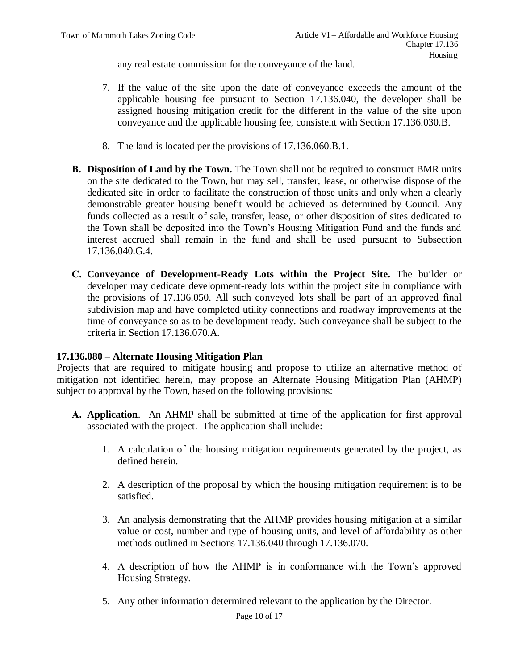any real estate commission for the conveyance of the land.

- 7. If the value of the site upon the date of conveyance exceeds the amount of the applicable housing fee pursuant to Section 17.136.040, the developer shall be assigned housing mitigation credit for the different in the value of the site upon conveyance and the applicable housing fee, consistent with Section 17.136.030.B.
- 8. The land is located per the provisions of 17.136.060.B.1.
- **B. Disposition of Land by the Town.** The Town shall not be required to construct BMR units on the site dedicated to the Town, but may sell, transfer, lease, or otherwise dispose of the dedicated site in order to facilitate the construction of those units and only when a clearly demonstrable greater housing benefit would be achieved as determined by Council. Any funds collected as a result of sale, transfer, lease, or other disposition of sites dedicated to the Town shall be deposited into the Town's Housing Mitigation Fund and the funds and interest accrued shall remain in the fund and shall be used pursuant to Subsection 17.136.040.G.4.
- **C. Conveyance of Development-Ready Lots within the Project Site.** The builder or developer may dedicate development-ready lots within the project site in compliance with the provisions of 17.136.050. All such conveyed lots shall be part of an approved final subdivision map and have completed utility connections and roadway improvements at the time of conveyance so as to be development ready. Such conveyance shall be subject to the criteria in Section 17.136.070.A.

# **17.136.080 – Alternate Housing Mitigation Plan**

Projects that are required to mitigate housing and propose to utilize an alternative method of mitigation not identified herein, may propose an Alternate Housing Mitigation Plan (AHMP) subject to approval by the Town, based on the following provisions:

- **A. Application**. An AHMP shall be submitted at time of the application for first approval associated with the project. The application shall include:
	- 1. A calculation of the housing mitigation requirements generated by the project, as defined herein.
	- 2. A description of the proposal by which the housing mitigation requirement is to be satisfied.
	- 3. An analysis demonstrating that the AHMP provides housing mitigation at a similar value or cost, number and type of housing units, and level of affordability as other methods outlined in Sections 17.136.040 through 17.136.070.
	- 4. A description of how the AHMP is in conformance with the Town's approved Housing Strategy.
	- 5. Any other information determined relevant to the application by the Director.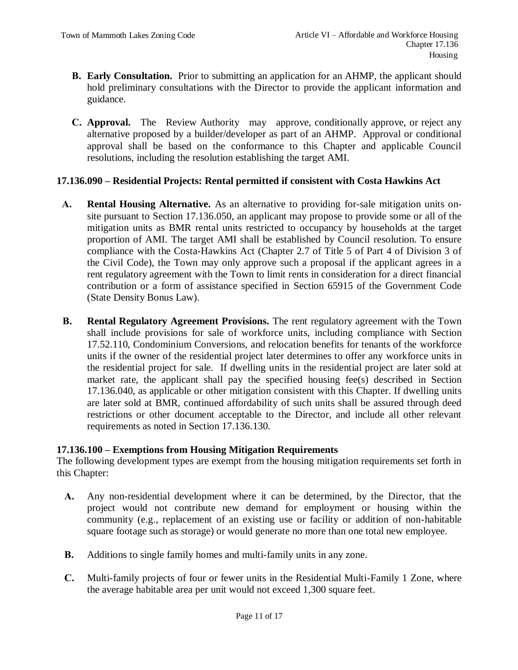- **B. Early Consultation.** Prior to submitting an application for an AHMP, the applicant should hold preliminary consultations with the Director to provide the applicant information and guidance.
- **C. Approval.** The Review Authority may approve, conditionally approve, or reject any alternative proposed by a builder/developer as part of an AHMP. Approval or conditional approval shall be based on the conformance to this Chapter and applicable Council resolutions, including the resolution establishing the target AMI.

# **17.136.090 – Residential Projects: Rental permitted if consistent with Costa Hawkins Act**

- **A. Rental Housing Alternative.** As an alternative to providing for-sale mitigation units onsite pursuant to Section 17.136.050, an applicant may propose to provide some or all of the mitigation units as BMR rental units restricted to occupancy by households at the target proportion of AMI. The target AMI shall be established by Council resolution. To ensure compliance with the Costa-Hawkins Act (Chapter 2.7 of Title 5 of Part 4 of Division 3 of the Civil Code), the Town may only approve such a proposal if the applicant agrees in a rent regulatory agreement with the Town to limit rents in consideration for a direct financial contribution or a form of assistance specified in Section 65915 of the Government Code (State Density Bonus Law).
- **B. Rental Regulatory Agreement Provisions.** The rent regulatory agreement with the Town shall include provisions for sale of workforce units, including compliance with Section 17.52.110, Condominium Conversions, and relocation benefits for tenants of the workforce units if the owner of the residential project later determines to offer any workforce units in the residential project for sale. If dwelling units in the residential project are later sold at market rate, the applicant shall pay the specified housing fee(s) described in Section 17.136.040, as applicable or other mitigation consistent with this Chapter. If dwelling units are later sold at BMR, continued affordability of such units shall be assured through deed restrictions or other document acceptable to the Director, and include all other relevant requirements as noted in Section 17.136.130.

# **17.136.100 – Exemptions from Housing Mitigation Requirements**

The following development types are exempt from the housing mitigation requirements set forth in this Chapter:

- **A.** Any non-residential development where it can be determined, by the Director, that the project would not contribute new demand for employment or housing within the community (e.g., replacement of an existing use or facility or addition of non-habitable square footage such as storage) or would generate no more than one total new employee.
- **B.** Additions to single family homes and multi-family units in any zone.
- **C.** Multi-family projects of four or fewer units in the Residential Multi-Family 1 Zone, where the average habitable area per unit would not exceed 1,300 square feet.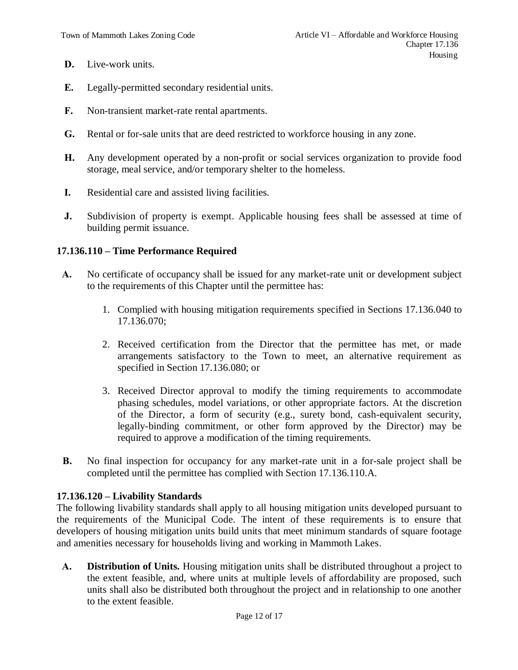- **D.** Live-work units.
- **E.** Legally-permitted secondary residential units.
- **F.** Non-transient market-rate rental apartments.
- **G.** Rental or for-sale units that are deed restricted to workforce housing in any zone.
- **H.** Any development operated by a non-profit or social services organization to provide food storage, meal service, and/or temporary shelter to the homeless.
- **I.** Residential care and assisted living facilities.
- **J.** Subdivision of property is exempt. Applicable housing fees shall be assessed at time of building permit issuance.

#### **17.136.110 – Time Performance Required**

- **A.** No certificate of occupancy shall be issued for any market-rate unit or development subject to the requirements of this Chapter until the permittee has:
	- 1. Complied with housing mitigation requirements specified in Sections 17.136.040 to 17.136.070;
	- 2. Received certification from the Director that the permittee has met, or made arrangements satisfactory to the Town to meet, an alternative requirement as specified in Section 17.136.080; or
	- 3. Received Director approval to modify the timing requirements to accommodate phasing schedules, model variations, or other appropriate factors. At the discretion of the Director, a form of security (e.g., surety bond, cash-equivalent security, legally-binding commitment, or other form approved by the Director) may be required to approve a modification of the timing requirements.
- **B.** No final inspection for occupancy for any market-rate unit in a for-sale project shall be completed until the permittee has complied with Section 17.136.110.A.

#### **17.136.120 – Livability Standards**

The following livability standards shall apply to all housing mitigation units developed pursuant to the requirements of the Municipal Code. The intent of these requirements is to ensure that developers of housing mitigation units build units that meet minimum standards of square footage and amenities necessary for households living and working in Mammoth Lakes.

**A. Distribution of Units.** Housing mitigation units shall be distributed throughout a project to the extent feasible, and, where units at multiple levels of affordability are proposed, such units shall also be distributed both throughout the project and in relationship to one another to the extent feasible.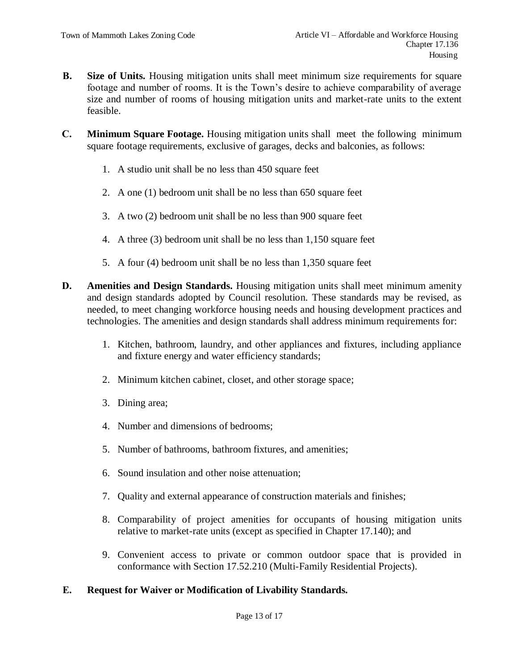- **B.** Size of Units. Housing mitigation units shall meet minimum size requirements for square footage and number of rooms. It is the Town's desire to achieve comparability of average size and number of rooms of housing mitigation units and market-rate units to the extent feasible.
- **C. Minimum Square Footage.** Housing mitigation units shall meet the following minimum square footage requirements, exclusive of garages, decks and balconies, as follows:
	- 1. A studio unit shall be no less than 450 square feet
	- 2. A one (1) bedroom unit shall be no less than 650 square feet
	- 3. A two (2) bedroom unit shall be no less than 900 square feet
	- 4. A three (3) bedroom unit shall be no less than 1,150 square feet
	- 5. A four (4) bedroom unit shall be no less than 1,350 square feet
- **D. Amenities and Design Standards.** Housing mitigation units shall meet minimum amenity and design standards adopted by Council resolution. These standards may be revised, as needed, to meet changing workforce housing needs and housing development practices and technologies. The amenities and design standards shall address minimum requirements for:
	- 1. Kitchen, bathroom, laundry, and other appliances and fixtures, including appliance and fixture energy and water efficiency standards;
	- 2. Minimum kitchen cabinet, closet, and other storage space;
	- 3. Dining area;
	- 4. Number and dimensions of bedrooms;
	- 5. Number of bathrooms, bathroom fixtures, and amenities;
	- 6. Sound insulation and other noise attenuation;
	- 7. Quality and external appearance of construction materials and finishes;
	- 8. Comparability of project amenities for occupants of housing mitigation units relative to market-rate units (except as specified in Chapter 17.140); and
	- 9. Convenient access to private or common outdoor space that is provided in conformance with Section 17.52.210 (Multi-Family Residential Projects).

# **E. Request for Waiver or Modification of Livability Standards.**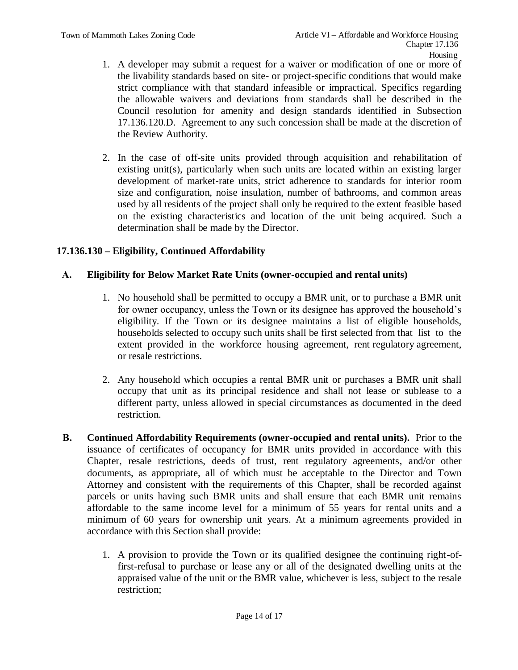- 1. A developer may submit a request for a waiver or modification of one or more of the livability standards based on site- or project-specific conditions that would make strict compliance with that standard infeasible or impractical. Specifics regarding the allowable waivers and deviations from standards shall be described in the Council resolution for amenity and design standards identified in Subsection 17.136.120.D. Agreement to any such concession shall be made at the discretion of the Review Authority.
- 2. In the case of off-site units provided through acquisition and rehabilitation of existing unit(s), particularly when such units are located within an existing larger development of market-rate units, strict adherence to standards for interior room size and configuration, noise insulation, number of bathrooms, and common areas used by all residents of the project shall only be required to the extent feasible based on the existing characteristics and location of the unit being acquired. Such a determination shall be made by the Director.

# **17.136.130 – Eligibility, Continued Affordability**

# **A. Eligibility for Below Market Rate Units (owner-occupied and rental units)**

- 1. No household shall be permitted to occupy a BMR unit, or to purchase a BMR unit for owner occupancy, unless the Town or its designee has approved the household's eligibility. If the Town or its designee maintains a list of eligible households, households selected to occupy such units shall be first selected from that list to the extent provided in the workforce housing agreement, rent regulatory agreement, or resale restrictions.
- 2. Any household which occupies a rental BMR unit or purchases a BMR unit shall occupy that unit as its principal residence and shall not lease or sublease to a different party, unless allowed in special circumstances as documented in the deed restriction.
- **B. Continued Affordability Requirements (owner-occupied and rental units).** Prior to the issuance of certificates of occupancy for BMR units provided in accordance with this Chapter, resale restrictions, deeds of trust, rent regulatory agreements, and/or other documents, as appropriate, all of which must be acceptable to the Director and Town Attorney and consistent with the requirements of this Chapter, shall be recorded against parcels or units having such BMR units and shall ensure that each BMR unit remains affordable to the same income level for a minimum of 55 years for rental units and a minimum of 60 years for ownership unit years. At a minimum agreements provided in accordance with this Section shall provide:
	- 1. A provision to provide the Town or its qualified designee the continuing right-offirst-refusal to purchase or lease any or all of the designated dwelling units at the appraised value of the unit or the BMR value, whichever is less, subject to the resale restriction;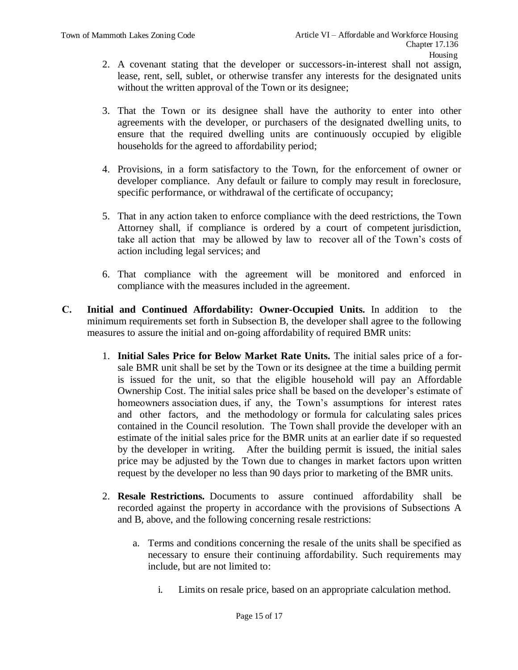- 2. A covenant stating that the developer or successors-in-interest shall not assign, lease, rent, sell, sublet, or otherwise transfer any interests for the designated units without the written approval of the Town or its designee;
- 3. That the Town or its designee shall have the authority to enter into other agreements with the developer, or purchasers of the designated dwelling units, to ensure that the required dwelling units are continuously occupied by eligible households for the agreed to affordability period;
- 4. Provisions, in a form satisfactory to the Town, for the enforcement of owner or developer compliance. Any default or failure to comply may result in foreclosure, specific performance, or withdrawal of the certificate of occupancy;
- 5. That in any action taken to enforce compliance with the deed restrictions, the Town Attorney shall, if compliance is ordered by a court of competent jurisdiction, take all action that may be allowed by law to recover all of the Town's costs of action including legal services; and
- 6. That compliance with the agreement will be monitored and enforced in compliance with the measures included in the agreement.
- **C. Initial and Continued Affordability: Owner-Occupied Units.** In addition to the minimum requirements set forth in Subsection B, the developer shall agree to the following measures to assure the initial and on-going affordability of required BMR units:
	- 1. **Initial Sales Price for Below Market Rate Units.** The initial sales price of a forsale BMR unit shall be set by the Town or its designee at the time a building permit is issued for the unit, so that the eligible household will pay an Affordable Ownership Cost. The initial sales price shall be based on the developer's estimate of homeowners association dues, if any, the Town's assumptions for interest rates and other factors, and the methodology or formula for calculating sales prices contained in the Council resolution. The Town shall provide the developer with an estimate of the initial sales price for the BMR units at an earlier date if so requested by the developer in writing. After the building permit is issued, the initial sales price may be adjusted by the Town due to changes in market factors upon written request by the developer no less than 90 days prior to marketing of the BMR units.
	- 2. **Resale Restrictions.** Documents to assure continued affordability shall be recorded against the property in accordance with the provisions of Subsections A and B, above, and the following concerning resale restrictions:
		- a. Terms and conditions concerning the resale of the units shall be specified as necessary to ensure their continuing affordability. Such requirements may include, but are not limited to:
			- i. Limits on resale price, based on an appropriate calculation method.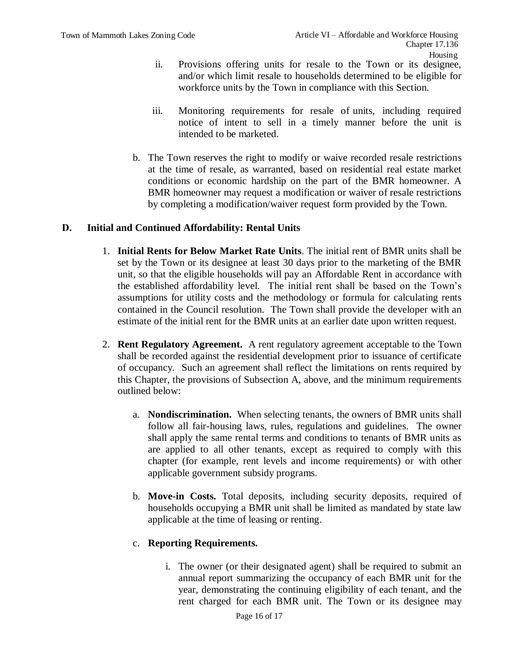- ii. Provisions offering units for resale to the Town or its designee, and/or which limit resale to households determined to be eligible for workforce units by the Town in compliance with this Section.
- iii. Monitoring requirements for resale of units, including required notice of intent to sell in a timely manner before the unit is intended to be marketed.
- b. The Town reserves the right to modify or waive recorded resale restrictions at the time of resale, as warranted, based on residential real estate market conditions or economic hardship on the part of the BMR homeowner. A BMR homeowner may request a modification or waiver of resale restrictions by completing a modification/waiver request form provided by the Town.

# **D. Initial and Continued Affordability: Rental Units**

- 1. **Initial Rents for Below Market Rate Units**. The initial rent of BMR units shall be set by the Town or its designee at least 30 days prior to the marketing of the BMR unit, so that the eligible households will pay an Affordable Rent in accordance with the established affordability level. The initial rent shall be based on the Town's assumptions for utility costs and the methodology or formula for calculating rents contained in the Council resolution. The Town shall provide the developer with an estimate of the initial rent for the BMR units at an earlier date upon written request.
- 2. **Rent Regulatory Agreement.** A rent regulatory agreement acceptable to the Town shall be recorded against the residential development prior to issuance of certificate of occupancy. Such an agreement shall reflect the limitations on rents required by this Chapter, the provisions of Subsection A, above, and the minimum requirements outlined below:
	- a. **Nondiscrimination.** When selecting tenants, the owners of BMR units shall follow all fair-housing laws, rules, regulations and guidelines. The owner shall apply the same rental terms and conditions to tenants of BMR units as are applied to all other tenants, except as required to comply with this chapter (for example, rent levels and income requirements) or with other applicable government subsidy programs.
	- b. **Move-in Costs.** Total deposits, including security deposits, required of households occupying a BMR unit shall be limited as mandated by state law applicable at the time of leasing or renting.

# c. **Reporting Requirements.**

i. The owner (or their designated agent) shall be required to submit an annual report summarizing the occupancy of each BMR unit for the year, demonstrating the continuing eligibility of each tenant, and the rent charged for each BMR unit. The Town or its designee may